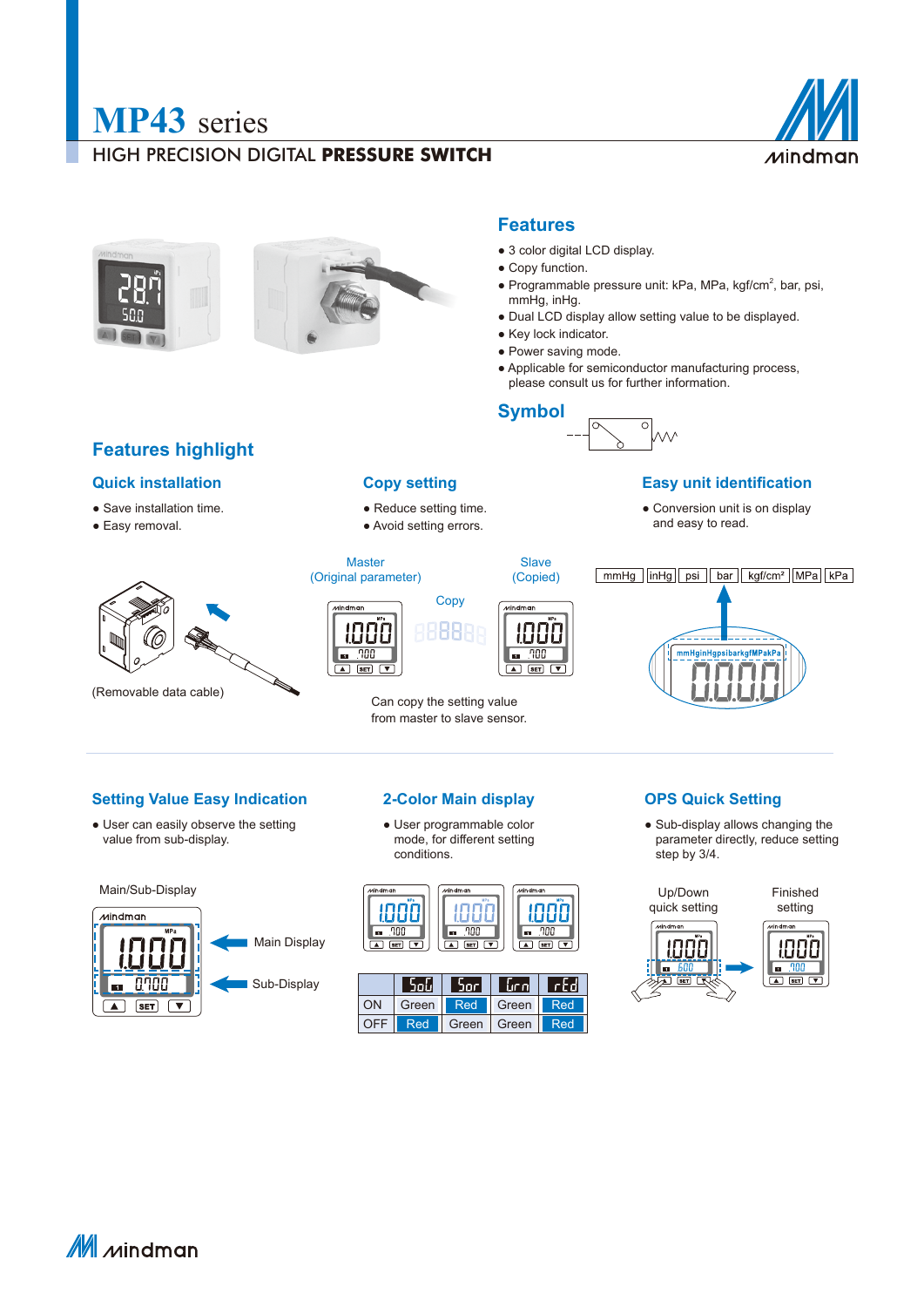

### HIGH PRECISION DIGITAL **PRESSURE SWITCH**







### **Features**

- 3 color digital LCD display.
- Copy function.
- Programmable pressure unit: kPa, MPa, kgf/cm<sup>2</sup>, bar, psi, mmHg, inHg.
- Dual LCD display allow setting value to be displayed.
- Key lock indicator.
- Power saving mode.
- Applicable for semiconductor manufacturing process, please consult us for further information.

# **Symbol**



### **Quick installation Easy unit identification Easy unit identification**

● Conversion unit is on display and easy to read.

Master Slave (Original parameter) (Copied) **Copy** Mindmar **uindman** 8888 拙出 88  $\boxed{m}$  . 700  $.700$ l on  $\sqrt{2}$  SET  $\sqrt{2}$  $\overline{\text{SET}}$  $\overline{\phantom{a}}$ 

• Reduce setting time. • Avoid setting errors.

**Copy setting**

Can copy the setting value from master to slave sensor.

# $\boxed{\text{mmHg}}$   $\boxed{\text{inHg}}$   $\boxed{\text{psi}}$   $\boxed{\text{bar}}$   $\boxed{\text{kgf/cm}^2}$   $\boxed{\text{MPa}}$   $\boxed{\text{kPa}}$ nHginHgpsibarkgfMPakP

### **Setting Value Easy Indication 2-Color Main display OPS Quick Setting**

• User can easily observe the setting value from sub-display.



● User programmable color mode, for different setting conditions.



|     | اباوڈ      | bor   | lur nl | Trid |
|-----|------------|-------|--------|------|
| ON  | Green      | Red   | Green  | Red  |
| OFF | <b>Red</b> | Green | Green  | Red  |

● Sub-display allows changing the parameter directly, reduce setting step by 3/4.



 $\mathbb M$  *M*indman



- Save installation time.
- Easy removal.



(Removable data cable)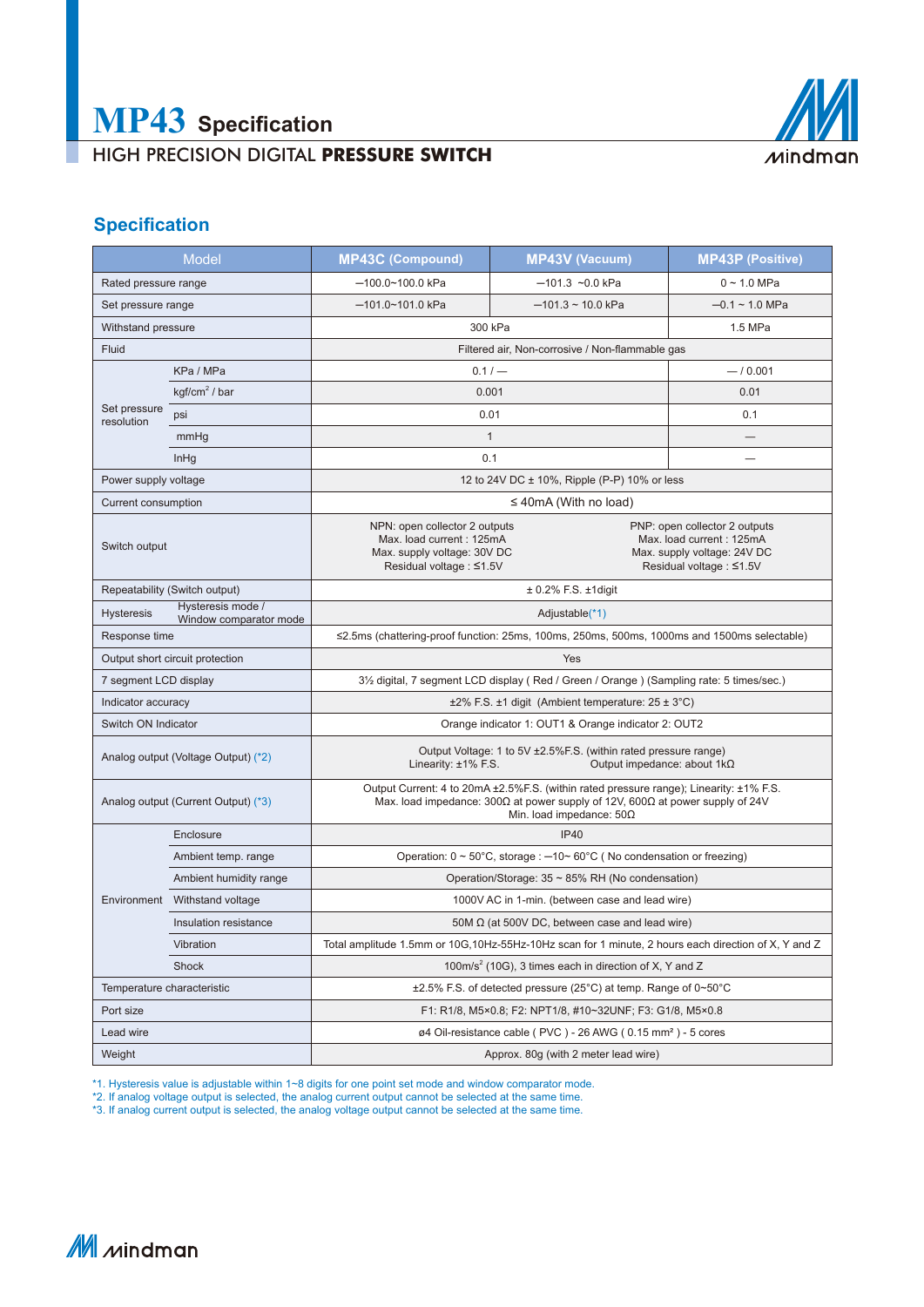# HIGH PRECISION DIGITAL **PRESSURE SWITCH**



# **Specification**

| <b>Model</b>                        |                                             | <b>MP43C (Compound)</b>                                                                                                                                                                                                      | <b>MP43V (Vacuum)</b>                                                                                                | <b>MP43P (Positive)</b> |  |  |
|-------------------------------------|---------------------------------------------|------------------------------------------------------------------------------------------------------------------------------------------------------------------------------------------------------------------------------|----------------------------------------------------------------------------------------------------------------------|-------------------------|--|--|
| Rated pressure range                |                                             | $-100.0 - 100.0$ kPa                                                                                                                                                                                                         | $-101.3$ ~0.0 kPa                                                                                                    | $0 - 1.0$ MPa           |  |  |
| Set pressure range                  |                                             | $-101.0 - 101.0$ kPa                                                                                                                                                                                                         | $-101.3 \sim 10.0$ kPa                                                                                               | $-0.1 \sim 1.0$ MPa     |  |  |
| Withstand pressure                  |                                             | 300 kPa                                                                                                                                                                                                                      |                                                                                                                      | 1.5 MPa                 |  |  |
| Fluid                               |                                             | Filtered air, Non-corrosive / Non-flammable gas                                                                                                                                                                              |                                                                                                                      |                         |  |  |
| KPa / MPa                           |                                             | $0.1 / -$<br>$-10.001$                                                                                                                                                                                                       |                                                                                                                      |                         |  |  |
| Set pressure<br>resolution          | $kgf/cm2$ / bar                             | 0.001                                                                                                                                                                                                                        |                                                                                                                      | 0.01                    |  |  |
|                                     | psi                                         | 0.01                                                                                                                                                                                                                         |                                                                                                                      | 0.1                     |  |  |
|                                     | mmHg                                        | $\mathbf{1}$                                                                                                                                                                                                                 |                                                                                                                      |                         |  |  |
|                                     | InHg                                        | 0.1                                                                                                                                                                                                                          |                                                                                                                      |                         |  |  |
| Power supply voltage                |                                             | 12 to 24V DC ± 10%, Ripple (P-P) 10% or less                                                                                                                                                                                 |                                                                                                                      |                         |  |  |
| Current consumption                 |                                             | $\leq$ 40mA (With no load)                                                                                                                                                                                                   |                                                                                                                      |                         |  |  |
| Switch output                       |                                             | NPN: open collector 2 outputs<br>Max. load current: 125mA<br>Max. supply voltage: 30V DC<br>Residual voltage : ≤1.5V                                                                                                         | PNP: open collector 2 outputs<br>Max. load current: 125mA<br>Max. supply voltage: 24V DC<br>Residual voltage : ≤1.5V |                         |  |  |
| Repeatability (Switch output)       |                                             | $\pm$ 0.2% F.S. $\pm$ 1digit                                                                                                                                                                                                 |                                                                                                                      |                         |  |  |
| <b>Hysteresis</b>                   | Hysteresis mode /<br>Window comparator mode | Adjustable(*1)                                                                                                                                                                                                               |                                                                                                                      |                         |  |  |
| Response time                       |                                             | $\leq$ 2.5ms (chattering-proof function: 25ms, 100ms, 250ms, 500ms, 1000ms and 1500ms selectable)                                                                                                                            |                                                                                                                      |                         |  |  |
| Output short circuit protection     |                                             | Yes                                                                                                                                                                                                                          |                                                                                                                      |                         |  |  |
| 7 segment LCD display               |                                             | 3½ digital, 7 segment LCD display (Red / Green / Orange) (Sampling rate: 5 times/sec.)                                                                                                                                       |                                                                                                                      |                         |  |  |
| Indicator accuracy                  |                                             | $\pm 2\%$ F.S. $\pm 1$ digit (Ambient temperature: 25 $\pm$ 3°C)                                                                                                                                                             |                                                                                                                      |                         |  |  |
| Switch ON Indicator                 |                                             | Orange indicator 1: OUT1 & Orange indicator 2: OUT2                                                                                                                                                                          |                                                                                                                      |                         |  |  |
| Analog output (Voltage Output) (*2) |                                             | Output Voltage: 1 to 5V ±2.5%F.S. (within rated pressure range)<br>Linearity: ±1% F.S.<br>Output impedance: about 1kΩ                                                                                                        |                                                                                                                      |                         |  |  |
| Analog output (Current Output) (*3) |                                             | Output Current: 4 to 20mA ± 2.5% F.S. (within rated pressure range); Linearity: ±1% F.S.<br>Max. load impedance: 300 $\Omega$ at power supply of 12V, 600 $\Omega$ at power supply of 24V<br>Min. load impedance: $50\Omega$ |                                                                                                                      |                         |  |  |
|                                     | Enclosure                                   | <b>IP40</b>                                                                                                                                                                                                                  |                                                                                                                      |                         |  |  |
|                                     | Ambient temp. range                         | Operation: $0 \sim 50^{\circ}$ C, storage : $-10 \sim 60^{\circ}$ C (No condensation or freezing)                                                                                                                            |                                                                                                                      |                         |  |  |
|                                     | Ambient humidity range                      | Operation/Storage: 35 ~ 85% RH (No condensation)                                                                                                                                                                             |                                                                                                                      |                         |  |  |
|                                     | Environment Withstand voltage               | 1000V AC in 1-min. (between case and lead wire)                                                                                                                                                                              |                                                                                                                      |                         |  |  |
|                                     | Insulation resistance                       | 50M $\Omega$ (at 500V DC, between case and lead wire)                                                                                                                                                                        |                                                                                                                      |                         |  |  |
|                                     | Vibration                                   | Total amplitude 1.5mm or 10G,10Hz-55Hz-10Hz scan for 1 minute, 2 hours each direction of X, Y and Z                                                                                                                          |                                                                                                                      |                         |  |  |
| Shock                               |                                             | 100m/s <sup>2</sup> (10G), 3 times each in direction of X, Y and Z                                                                                                                                                           |                                                                                                                      |                         |  |  |
| Temperature characteristic          |                                             | $\pm 2.5\%$ F.S. of detected pressure (25°C) at temp. Range of 0~50°C                                                                                                                                                        |                                                                                                                      |                         |  |  |
| Port size                           |                                             | F1: R1/8, M5×0.8; F2: NPT1/8, #10~32UNF; F3: G1/8, M5×0.8                                                                                                                                                                    |                                                                                                                      |                         |  |  |
| Lead wire                           |                                             | ø4 Oil-resistance cable (PVC) - 26 AWG (0.15 mm <sup>2</sup> ) - 5 cores                                                                                                                                                     |                                                                                                                      |                         |  |  |
| Weight                              |                                             | Approx. 80q (with 2 meter lead wire)                                                                                                                                                                                         |                                                                                                                      |                         |  |  |

\*1. Hysteresis value is adjustable within 1~8 digits for one point set mode and window comparator mode.

\*2. If analog voltage output is selected, the analog current output cannot be selected at the same time.

\*3. If analog current output is selected, the analog voltage output cannot be selected at the same time.

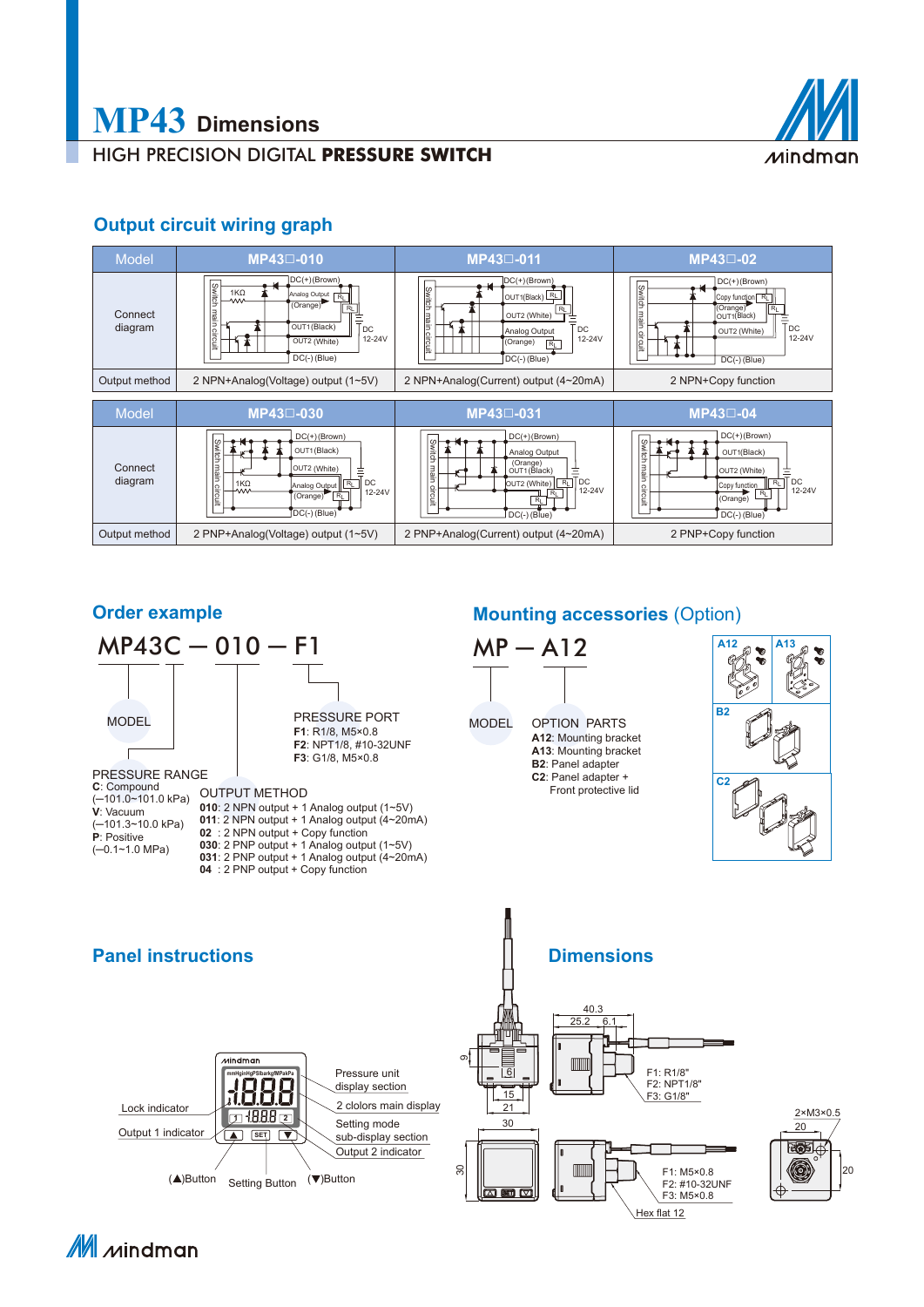

# HIGH PRECISION DIGITAL **PRESSURE SWITCH**

# **Output circuit wiring graph**



### **Order example**



## **Mounting accessories** (Option)